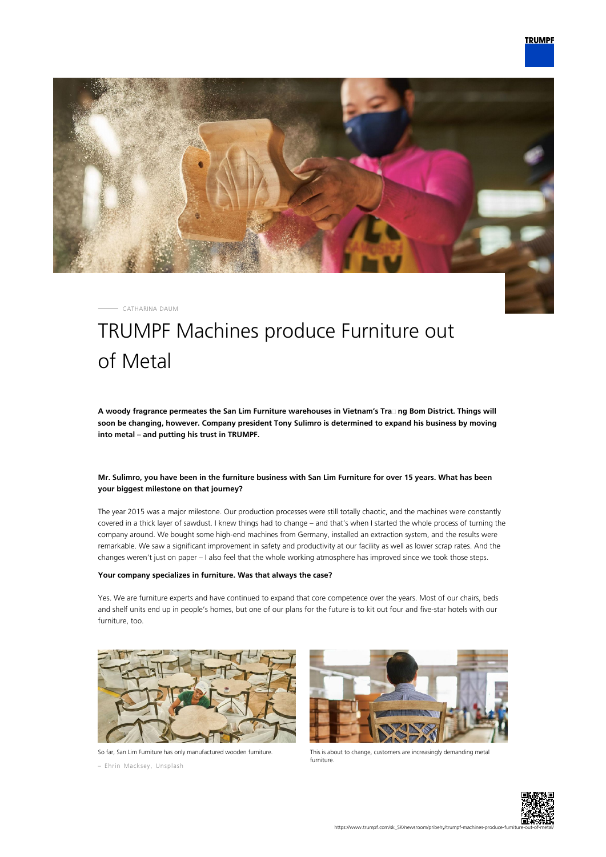

CATHARINA DAUM

# TRUMPF Machines produce Furniture out of Metal

**A woody fragrance permeates the San Lim Furniture warehouses in Vietnam's Tra᾿ ng Bom District. Things will soon be changing, however. Company president Tony Sulimro is determined to expand his business by moving into metal – and putting his trust in TRUMPF.**

## **Mr. Sulimro, you have been in the furniture business with San Lim Furniture for over 15 years. What has been your biggest milestone on that journey?**

The year 2015 was a major milestone. Our production processes were still totally chaotic, and the machines were constantly covered in a thick layer of sawdust. I knew things had to change – and that's when I started the whole process of turning the company around. We bought some high-end machines from Germany, installed an extraction system, and the results were remarkable. We saw a significant improvement in safety and productivity at our facility as well as lower scrap rates. And the changes weren't just on paper – I also feel that the whole working atmosphere has improved since we took those steps.

#### **Your company specializes in furniture. Was that always the case?**

Yes. We are furniture experts and have continued to expand that core competence over the years. Most of our chairs, beds and shelf units end up in people's homes, but one of our plans for the future is to kit out four and five-star hotels with our furniture, too.



So far, San Lim Furniture has only manufactured wooden furniture.

– Ehrin Macksey, Unsplash



This is about to change, customers are increasingly demanding metal furniture.

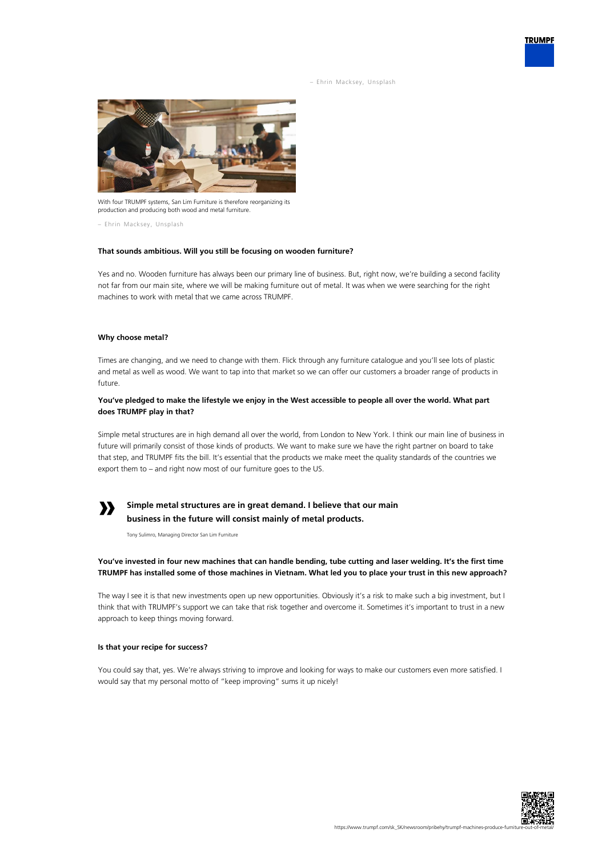– Ehrin Macksey, Unsplash



With four TRUMPF systems, San Lim Furniture is therefore reorganizing its production and producing both wood and metal furniture.

– Ehrin Macksey, Unsplash

#### **That sounds ambitious. Will you still be focusing on wooden furniture?**

Yes and no. Wooden furniture has always been our primary line of business. But, right now, we're building a second facility not far from our main site, where we will be making furniture out of metal. It was when we were searching for the right machines to work with metal that we came across TRUMPF.

#### **Why choose metal?**

Times are changing, and we need to change with them. Flick through any furniture catalogue and you'll see lots of plastic and metal as well as wood. We want to tap into that market so we can offer our customers a broader range of products in future.

## **You've pledged to make the lifestyle we enjoy in the West accessible to people all over the world. What part does TRUMPF play in that?**

Simple metal structures are in high demand all over the world, from London to New York. I think our main line of business in future will primarily consist of those kinds of products. We want to make sure we have the right partner on board to take that step, and TRUMPF fits the bill. It's essential that the products we make meet the quality standards of the countries we export them to – and right now most of our furniture goes to the US.

# **»**

# **Simple metal structures are in great demand. I believe that our main business in the future will consist mainly of metal products.**

Tony Sulimro, Managing Director San Lim Furniture

## **You've invested in four new machines that can handle bending, tube cutting and laser welding. It's the first time TRUMPF has installed some of those machines in Vietnam. What led you to place your trust in this new approach?**

The way I see it is that new investments open up new opportunities. Obviously it's a risk to make such a big investment, but I think that with TRUMPF's support we can take that risk together and overcome it. Sometimes it's important to trust in a new approach to keep things moving forward.

#### **Is that your recipe for success?**

You could say that, yes. We're always striving to improve and looking for ways to make our customers even more satisfied. I would say that my personal motto of "keep improving" sums it up nicely!



**TRUMPF**